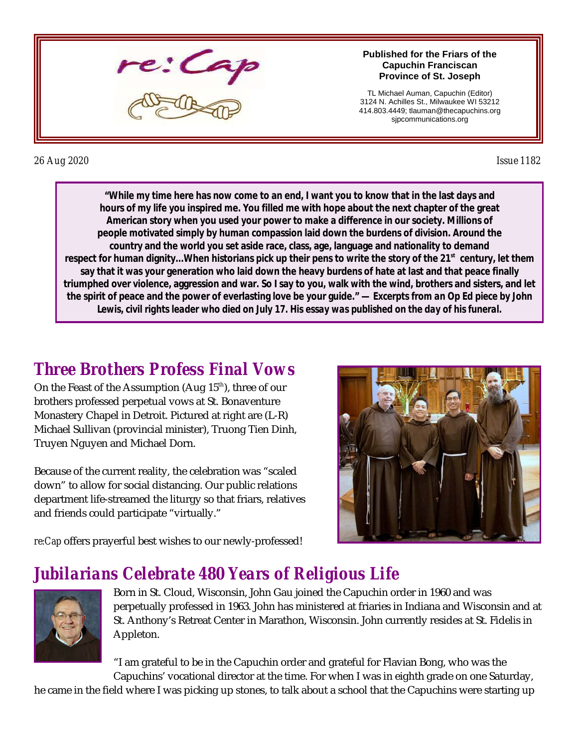

#### **Published for the Friars of the Capuchin Franciscan Province of St. Joseph**

TL Michael Auman, Capuchin (Editor) 3124 N. Achilles St., Milwaukee WI 53212 414.803.4449; tlauman@thecapuchins.org sjpcommunications.org

#### *26 Aug 2020 Issue 1182*

**"While my time here has now come to an end, I want you to know that in the last days and hours of my life you inspired me. You filled me with hope about the next chapter of the great American story when you used your power to make a difference in our society. Millions of people motivated simply by human compassion laid down the burdens of division. Around the country and the world you set aside race, class, age, language and nationality to demand respect for human dignity...When historians pick up their pens to write the story of the 21st century, let them say that it was your generation who laid down the heavy burdens of hate at last and that peace finally triumphed over violence, aggression and war. So I say to you, walk with the wind, brothers and sisters, and let the spirit of peace and the power of everlasting love be your guide." —** *Excerpts from an Op Ed piece by John Lewis, civil rights leader who died on July 17. His essay was published on the day of his funeral.*

## *Three Brothers Profess Final Vows*

On the Feast of the Assumption (Aug  $15^{\text{th}}$ ), three of our brothers professed perpetual vows at St. Bonaventure Monastery Chapel in Detroit. Pictured at right are (L-R) Michael Sullivan (provincial minister), Truong Tien Dinh, Truyen Nguyen and Michael Dorn.

Because of the current reality, the celebration was "scaled down" to allow for social distancing. Our public relations department life-streamed the liturgy so that friars, relatives and friends could participate "virtually."



*re:Cap* offers prayerful best wishes to our newly-professed!

## *Jubilarians Celebrate 480 Years of Religious Life*



Born in St. Cloud, Wisconsin, John Gau joined the Capuchin order in 1960 and was perpetually professed in 1963. John has ministered at friaries in Indiana and Wisconsin and at St. Anthony's Retreat Center in Marathon, Wisconsin. John currently resides at St. Fidelis in Appleton.

"I am grateful to be in the Capuchin order and grateful for Flavian Bong, who was the Capuchins' vocational director at the time. For when I was in eighth grade on one Saturday,

he came in the field where I was picking up stones, to talk about a school that the Capuchins were starting up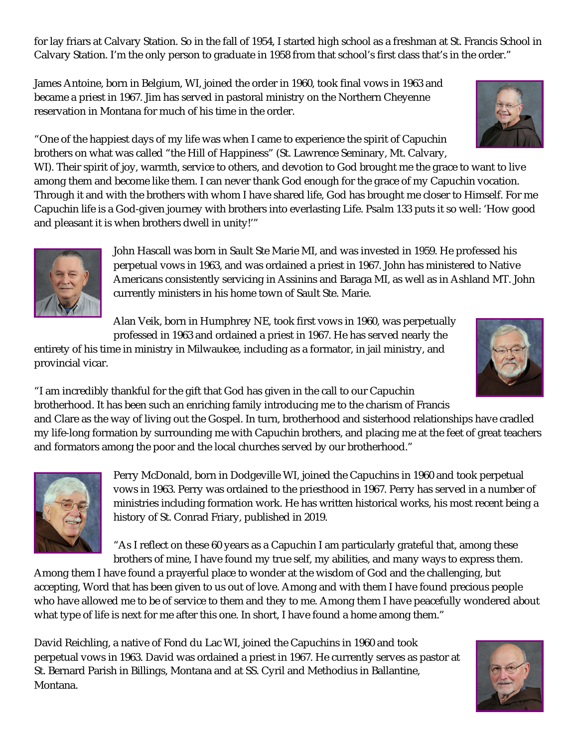for lay friars at Calvary Station. So in the fall of 1954, I started high school as a freshman at St. Francis School in Calvary Station. I'm the only person to graduate in 1958 from that school's first class that's in the order."

James Antoine, born in Belgium, WI, joined the order in 1960, took final vows in 1963 and became a priest in 1967. Jim has served in pastoral ministry on the Northern Cheyenne reservation in Montana for much of his time in the order.

"One of the happiest days of my life was when I came to experience the spirit of Capuchin brothers on what was called "the Hill of Happiness" (St. Lawrence Seminary, Mt. Calvary,

WI). Their spirit of joy, warmth, service to others, and devotion to God brought me the grace to want to live among them and become like them. I can never thank God enough for the grace of my Capuchin vocation. Through it and with the brothers with whom I have shared life, God has brought me closer to Himself. For me Capuchin life is a God-given journey with brothers into everlasting Life. Psalm 133 puts it so well: 'How good and pleasant it is when brothers dwell in unity!'"



John Hascall was born in Sault Ste Marie MI, and was invested in 1959. He professed his perpetual vows in 1963, and was ordained a priest in 1967. John has ministered to Native Americans consistently servicing in Assinins and Baraga MI, as well as in Ashland MT. John currently ministers in his home town of Sault Ste. Marie.

Alan Veik, born in Humphrey NE, took first vows in 1960, was perpetually professed in 1963 and ordained a priest in 1967. He has served nearly the

entirety of his time in ministry in Milwaukee, including as a formator, in jail ministry, and provincial vicar.



"I am incredibly thankful for the gift that God has given in the call to our Capuchin brotherhood. It has been such an enriching family introducing me to the charism of Francis and Clare as the way of living out the Gospel. In turn, brotherhood and sisterhood relationships have cradled my life-long formation by surrounding me with Capuchin brothers, and placing me at the feet of great teachers and formators among the poor and the local churches served by our brotherhood."



Perry McDonald, born in Dodgeville WI, joined the Capuchins in 1960 and took perpetual vows in 1963. Perry was ordained to the priesthood in 1967. Perry has served in a number of ministries including formation work. He has written historical works, his most recent being a history of St. Conrad Friary, published in 2019.

"As I reflect on these 60 years as a Capuchin I am particularly grateful that, among these brothers of mine, I have found my true self, my abilities, and many ways to express them.

Among them I have found a prayerful place to wonder at the wisdom of God and the challenging, but accepting, Word that has been given to us out of love. Among and with them I have found precious people who have allowed me to be of service to them and they to me. Among them I have peacefully wondered about what type of life is next for me after this one. In short, I have found a home among them."

David Reichling, a native of Fond du Lac WI, joined the Capuchins in 1960 and took perpetual vows in 1963. David was ordained a priest in 1967. He currently serves as pastor at St. Bernard Parish in Billings, Montana and at SS. Cyril and Methodius in Ballantine, Montana.



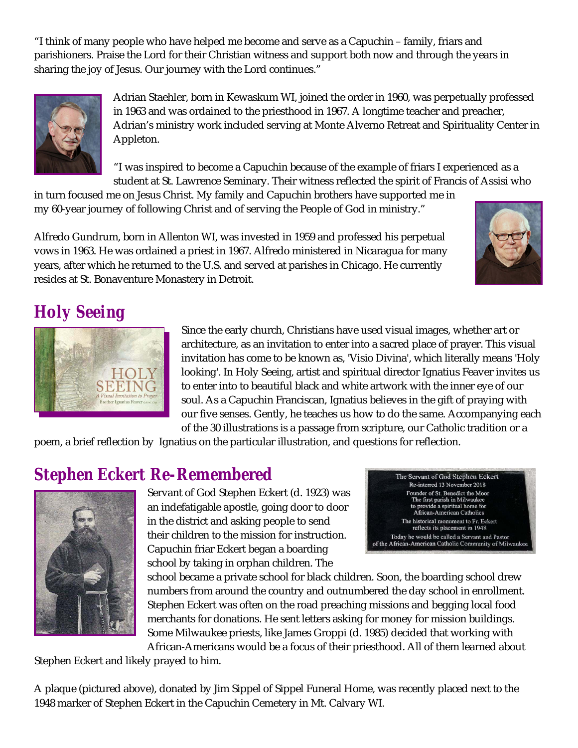"I think of many people who have helped me become and serve as a Capuchin – family, friars and parishioners. Praise the Lord for their Christian witness and support both now and through the years in sharing the joy of Jesus. Our journey with the Lord continues."



Adrian Staehler, born in Kewaskum WI, joined the order in 1960, was perpetually professed in 1963 and was ordained to the priesthood in 1967. A longtime teacher and preacher, Adrian's ministry work included serving at Monte Alverno Retreat and Spirituality Center in Appleton.

"I was inspired to become a Capuchin because of the example of friars I experienced as a student at St. Lawrence Seminary. Their witness reflected the spirit of Francis of Assisi who

in turn focused me on Jesus Christ. My family and Capuchin brothers have supported me in my 60-year journey of following Christ and of serving the People of God in ministry."

Alfredo Gundrum, born in Allenton WI, was invested in 1959 and professed his perpetual vows in 1963. He was ordained a priest in 1967. Alfredo ministered in Nicaragua for many years, after which he returned to the U.S. and served at parishes in Chicago. He currently resides at St. Bonaventure Monastery in Detroit.



# *Holy Seeing*



Since the early church, Christians have used visual images, whether art or architecture, as an invitation to enter into a sacred place of prayer. This visual invitation has come to be known as, 'Visio Divina', which literally means 'Holy looking'. In Holy Seeing, artist and spiritual director Ignatius Feaver invites us to enter into to beautiful black and white artwork with the inner eye of our soul. As a Capuchin Franciscan, Ignatius believes in the gift of praying with our five senses. Gently, he teaches us how to do the same. Accompanying each of the 30 illustrations is a passage from scripture, our Catholic tradition or a

poem, a brief reflection by Ignatius on the particular illustration, and questions for reflection.

#### *Stephen Eckert Re-Remembered*



Servant of God Stephen Eckert (d. 1923) was an indefatigable apostle, going door to door in the district and asking people to send their children to the mission for instruction. Capuchin friar Eckert began a boarding school by taking in orphan children. The

The Servant of God Stephen Eckert Re-interred 13 November 2018 Founder of St. Benedict the Moor<br>The first parish in Milwaukee<br>to provide a spiritual home for<br>African-American Catholics The historical monument to Fr. Eckert reflects its placement in 1948 Today he would be called a Servant and Pastor of the African-American Catholic Community of Milwaukee

school became a private school for black children. Soon, the boarding school drew numbers from around the country and outnumbered the day school in enrollment. Stephen Eckert was often on the road preaching missions and begging local food merchants for donations. He sent letters asking for money for mission buildings. Some Milwaukee priests, like James Groppi (d. 1985) decided that working with African-Americans would be a focus of their priesthood. All of them learned about

Stephen Eckert and likely prayed to him.

A plaque (pictured above), donated by Jim Sippel of Sippel Funeral Home, was recently placed next to the 1948 marker of Stephen Eckert in the Capuchin Cemetery in Mt. Calvary WI.